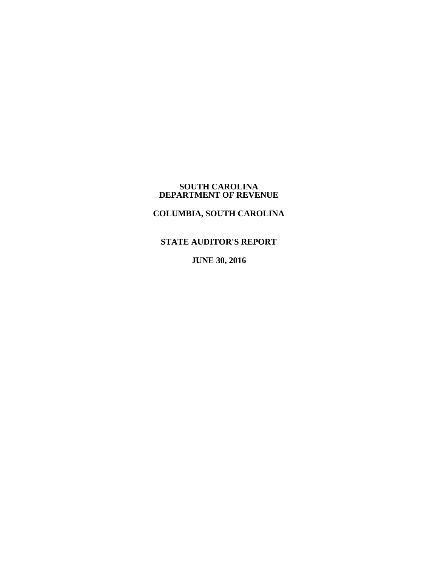#### **SOUTH CAROLINA DEPARTMENT OF REVENUE**

# **COLUMBIA, SOUTH CAROLINA**

# **STATE AUDITOR'S REPORT**

**JUNE 30, 2016**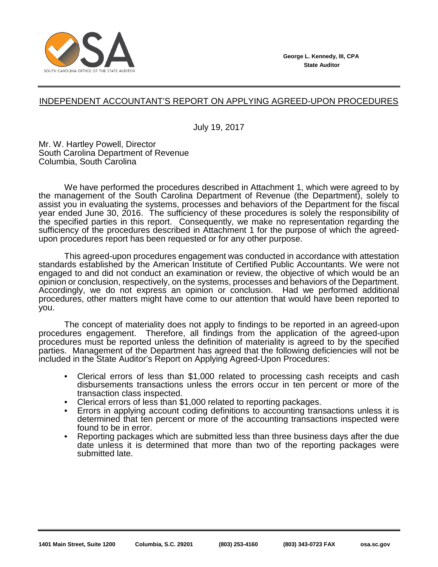

# INDEPENDENT ACCOUNTANT'S REPORT ON APPLYING AGREED-UPON PROCEDURES

July 19, 2017

Mr. W. Hartley Powell, Director South Carolina Department of Revenue Columbia, South Carolina

We have performed the procedures described in Attachment 1, which were agreed to by the management of the South Carolina Department of Revenue (the Department), solely to assist you in evaluating the systems, processes and behaviors of the Department for the fiscal year ended June 30, 2016. The sufficiency of these procedures is solely the responsibility of the specified parties in this report. Consequently, we make no representation regarding the sufficiency of the procedures described in Attachment 1 for the purpose of which the agreedupon procedures report has been requested or for any other purpose.

This agreed-upon procedures engagement was conducted in accordance with attestation standards established by the American Institute of Certified Public Accountants. We were not engaged to and did not conduct an examination or review, the objective of which would be an opinion or conclusion, respectively, on the systems, processes and behaviors of the Department. Accordingly, we do not express an opinion or conclusion. Had we performed additional procedures, other matters might have come to our attention that would have been reported to you.

The concept of materiality does not apply to findings to be reported in an agreed-upon procedures engagement. Therefore, all findings from the application of the agreed-upon procedures must be reported unless the definition of materiality is agreed to by the specified parties. Management of the Department has agreed that the following deficiencies will not be included in the State Auditor's Report on Applying Agreed-Upon Procedures:

- Clerical errors of less than \$1,000 related to processing cash receipts and cash disbursements transactions unless the errors occur in ten percent or more of the transaction class inspected.
- Clerical errors of less than \$1,000 related to reporting packages.
- Errors in applying account coding definitions to accounting transactions unless it is determined that ten percent or more of the accounting transactions inspected were found to be in error.
- Reporting packages which are submitted less than three business days after the due date unless it is determined that more than two of the reporting packages were submitted late.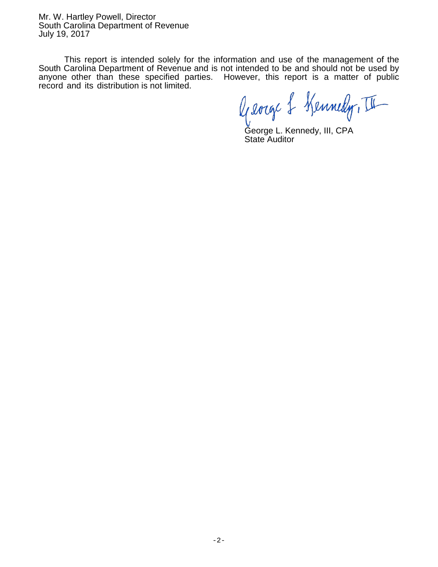Mr. W. Hartley Powell, Director South Carolina Department of Revenue July 19, 2017

This report is intended solely for the information and use of the management of the South Carolina Department of Revenue and is not intended to be and should not be used by anyone other than these specified parties. However, this report is a matter of public record and its distribution is not limited.

George & Kennedy, II

George L. Kennedy, III, CPA State Auditor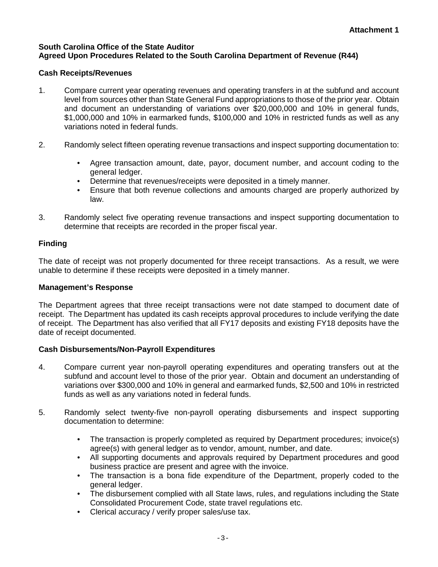## **South Carolina Office of the State Auditor Agreed Upon Procedures Related to the South Carolina Department of Revenue (R44)**

# **Cash Receipts/Revenues**

- 1. Compare current year operating revenues and operating transfers in at the subfund and account level from sources other than State General Fund appropriations to those of the prior year. Obtain and document an understanding of variations over \$20,000,000 and 10% in general funds, \$1,000,000 and 10% in earmarked funds, \$100,000 and 10% in restricted funds as well as any variations noted in federal funds.
- 2. Randomly select fifteen operating revenue transactions and inspect supporting documentation to:
	- Agree transaction amount, date, payor, document number, and account coding to the general ledger.
	- Determine that revenues/receipts were deposited in a timely manner.
	- Ensure that both revenue collections and amounts charged are properly authorized by law.
- 3. Randomly select five operating revenue transactions and inspect supporting documentation to determine that receipts are recorded in the proper fiscal year.

# **Finding**

The date of receipt was not properly documented for three receipt transactions. As a result, we were unable to determine if these receipts were deposited in a timely manner.

## **Management's Response**

The Department agrees that three receipt transactions were not date stamped to document date of receipt. The Department has updated its cash receipts approval procedures to include verifying the date of receipt. The Department has also verified that all FY17 deposits and existing FY18 deposits have the date of receipt documented.

## **Cash Disbursements/Non-Payroll Expenditures**

- 4. Compare current year non-payroll operating expenditures and operating transfers out at the subfund and account level to those of the prior year. Obtain and document an understanding of variations over \$300,000 and 10% in general and earmarked funds, \$2,500 and 10% in restricted funds as well as any variations noted in federal funds.
- 5. Randomly select twenty-five non-payroll operating disbursements and inspect supporting documentation to determine:
	- The transaction is properly completed as required by Department procedures; invoice(s) agree(s) with general ledger as to vendor, amount, number, and date.
	- All supporting documents and approvals required by Department procedures and good business practice are present and agree with the invoice.
	- The transaction is a bona fide expenditure of the Department, properly coded to the general ledger.
	- The disbursement complied with all State laws, rules, and regulations including the State Consolidated Procurement Code, state travel regulations etc.
	- Clerical accuracy / verify proper sales/use tax.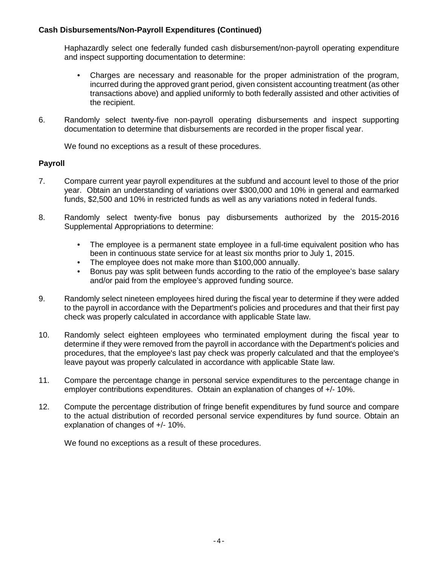# **Cash Disbursements/Non-Payroll Expenditures (Continued)**

Haphazardly select one federally funded cash disbursement/non-payroll operating expenditure and inspect supporting documentation to determine:

- Charges are necessary and reasonable for the proper administration of the program, incurred during the approved grant period, given consistent accounting treatment (as other transactions above) and applied uniformly to both federally assisted and other activities of the recipient.
- 6. Randomly select twenty-five non-payroll operating disbursements and inspect supporting documentation to determine that disbursements are recorded in the proper fiscal year.

We found no exceptions as a result of these procedures.

## **Payroll**

- 7. Compare current year payroll expenditures at the subfund and account level to those of the prior year. Obtain an understanding of variations over \$300,000 and 10% in general and earmarked funds, \$2,500 and 10% in restricted funds as well as any variations noted in federal funds.
- 8. Randomly select twenty-five bonus pay disbursements authorized by the 2015-2016 Supplemental Appropriations to determine:
	- The employee is a permanent state employee in a full-time equivalent position who has been in continuous state service for at least six months prior to July 1, 2015.
	- The employee does not make more than \$100,000 annually.
	- Bonus pay was split between funds according to the ratio of the employee's base salary and/or paid from the employee's approved funding source.
- 9. Randomly select nineteen employees hired during the fiscal year to determine if they were added to the payroll in accordance with the Department's policies and procedures and that their first pay check was properly calculated in accordance with applicable State law.
- 10. Randomly select eighteen employees who terminated employment during the fiscal year to determine if they were removed from the payroll in accordance with the Department's policies and procedures, that the employee's last pay check was properly calculated and that the employee's leave payout was properly calculated in accordance with applicable State law.
- 11. Compare the percentage change in personal service expenditures to the percentage change in employer contributions expenditures. Obtain an explanation of changes of +/- 10%.
- 12. Compute the percentage distribution of fringe benefit expenditures by fund source and compare to the actual distribution of recorded personal service expenditures by fund source. Obtain an explanation of changes of +/- 10%.

We found no exceptions as a result of these procedures.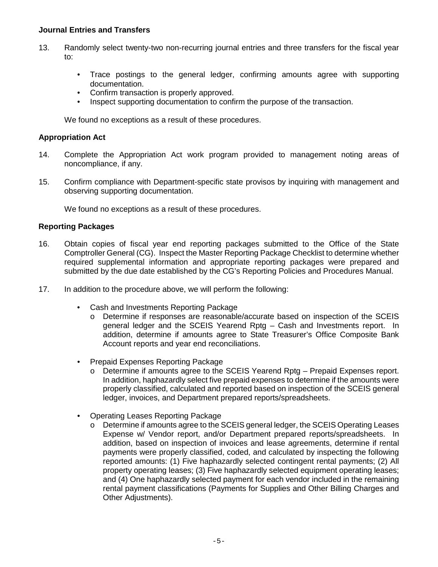### **Journal Entries and Transfers**

- 13. Randomly select twenty-two non-recurring journal entries and three transfers for the fiscal year to:
	- Trace postings to the general ledger, confirming amounts agree with supporting documentation.
	- Confirm transaction is properly approved.
	- Inspect supporting documentation to confirm the purpose of the transaction.

We found no exceptions as a result of these procedures.

#### **Appropriation Act**

- 14. Complete the Appropriation Act work program provided to management noting areas of noncompliance, if any.
- 15. Confirm compliance with Department-specific state provisos by inquiring with management and observing supporting documentation.

We found no exceptions as a result of these procedures.

#### **Reporting Packages**

- 16. Obtain copies of fiscal year end reporting packages submitted to the Office of the State Comptroller General (CG). Inspect the Master Reporting Package Checklist to determine whether required supplemental information and appropriate reporting packages were prepared and submitted by the due date established by the CG's Reporting Policies and Procedures Manual.
- 17. In addition to the procedure above, we will perform the following:
	- Cash and Investments Reporting Package
		- o Determine if responses are reasonable/accurate based on inspection of the SCEIS general ledger and the SCEIS Yearend Rptg – Cash and Investments report. In addition, determine if amounts agree to State Treasurer's Office Composite Bank Account reports and year end reconciliations.
	- Prepaid Expenses Reporting Package
		- o Determine if amounts agree to the SCEIS Yearend Rptg Prepaid Expenses report. In addition, haphazardly select five prepaid expenses to determine if the amounts were properly classified, calculated and reported based on inspection of the SCEIS general ledger, invoices, and Department prepared reports/spreadsheets.
	- Operating Leases Reporting Package
		- o Determine if amounts agree to the SCEIS general ledger, the SCEIS Operating Leases Expense w/ Vendor report, and/or Department prepared reports/spreadsheets. In addition, based on inspection of invoices and lease agreements, determine if rental payments were properly classified, coded, and calculated by inspecting the following reported amounts: (1) Five haphazardly selected contingent rental payments; (2) All property operating leases; (3) Five haphazardly selected equipment operating leases; and (4) One haphazardly selected payment for each vendor included in the remaining rental payment classifications (Payments for Supplies and Other Billing Charges and Other Adjustments).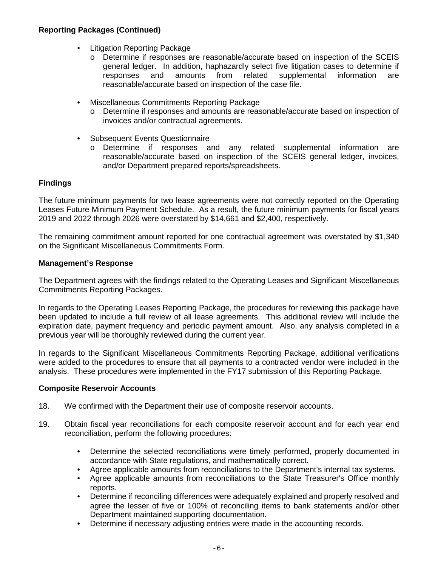# **Reporting Packages (Continued)**

- Litigation Reporting Package
	- o Determine if responses are reasonable/accurate based on inspection of the SCEIS general ledger. In addition, haphazardly select five litigation cases to determine if responses and amounts from related supplemental information are reasonable/accurate based on inspection of the case file.
- Miscellaneous Commitments Reporting Package
	- o Determine if responses and amounts are reasonable/accurate based on inspection of invoices and/or contractual agreements.
- Subsequent Events Questionnaire
	- o Determine if responses and any related supplemental information are reasonable/accurate based on inspection of the SCEIS general ledger, invoices, and/or Department prepared reports/spreadsheets.

## **Findings**

The future minimum payments for two lease agreements were not correctly reported on the Operating Leases Future Minimum Payment Schedule. As a result, the future minimum payments for fiscal years 2019 and 2022 through 2026 were overstated by \$14,661 and \$2,400, respectively.

The remaining commitment amount reported for one contractual agreement was overstated by \$1,340 on the Significant Miscellaneous Commitments Form.

#### **Management's Response**

The Department agrees with the findings related to the Operating Leases and Significant Miscellaneous Commitments Reporting Packages.

In regards to the Operating Leases Reporting Package, the procedures for reviewing this package have been updated to include a full review of all lease agreements. This additional review will include the expiration date, payment frequency and periodic payment amount. Also, any analysis completed in a previous year will be thoroughly reviewed during the current year.

In regards to the Significant Miscellaneous Commitments Reporting Package, additional verifications were added to the procedures to ensure that all payments to a contracted vendor were included in the analysis. These procedures were implemented in the FY17 submission of this Reporting Package.

#### **Composite Reservoir Accounts**

- 18. We confirmed with the Department their use of composite reservoir accounts.
- 19. Obtain fiscal year reconciliations for each composite reservoir account and for each year end reconciliation, perform the following procedures:
	- Determine the selected reconciliations were timely performed, properly documented in accordance with State regulations, and mathematically correct.
	- Agree applicable amounts from reconciliations to the Department's internal tax systems.
	- Agree applicable amounts from reconciliations to the State Treasurer's Office monthly reports.
	- Determine if reconciling differences were adequately explained and properly resolved and agree the lesser of five or 100% of reconciling items to bank statements and/or other Department maintained supporting documentation.
	- Determine if necessary adjusting entries were made in the accounting records.